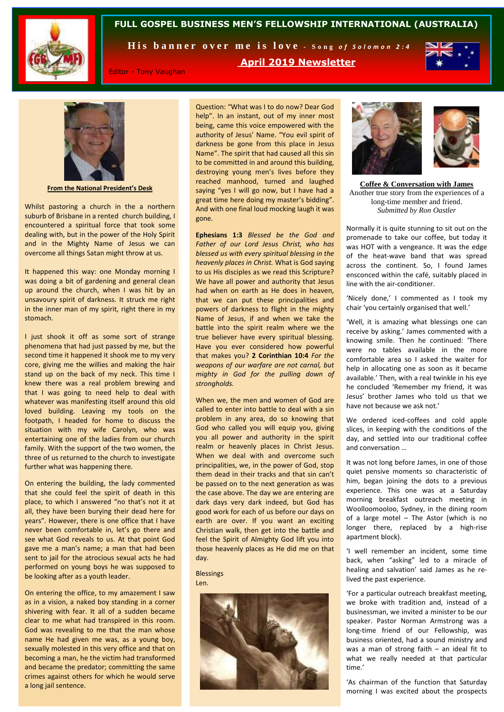

#### **FULL GOSPEL BUSINESS MEN'S FELLOWSHIP INTERNATIONAL (AUSTRALIA)**

His banner over me is love - Song of Solomon 2:4



Editor - Tony Vaughan

**April 2019 Newsletter**



**From the National President's Desk**

Whilst pastoring a church in the a northern suburb of Brisbane in a rented church building, I encountered a spiritual force that took some dealing with, but in the power of the Holy Spirit and in the Mighty Name of Jesus we can overcome all things Satan might throw at us.

It happened this way: one Monday morning I was doing a bit of gardening and general clean up around the church, when I was hit by an unsavoury spirit of darkness. It struck me right in the inner man of my spirit, right there in my stomach.

I just shook it off as some sort of strange phenomena that had just passed by me, but the second time it happened it shook me to my very core, giving me the willies and making the hair stand up on the back of my neck. This time I knew there was a real problem brewing and that I was going to need help to deal with whatever was manifesting itself around this old loved building. Leaving my tools on the footpath, I headed for home to discuss the situation with my wife Carolyn, who was entertaining one of the ladies from our church family. With the support of the two women, the three of us returned to the church to investigate further what was happening there.

On entering the building, the lady commented that she could feel the spirit of death in this place, to which I answered "no that's not it at all, they have been burying their dead here for years". However, there is one office that I have never been comfortable in, let's go there and see what God reveals to us. At that point God gave me a man's name; a man that had been sent to jail for the atrocious sexual acts he had performed on young boys he was supposed to be looking after as a youth leader.

On entering the office, to my amazement I saw as in a vision, a naked boy standing in a corner shivering with fear. It all of a sudden became clear to me what had transpired in this room. God was revealing to me that the man whose name He had given me was, as a young boy, sexually molested in this very office and that on becoming a man, he the victim had transformed and became the predator; committing the same crimes against others for which he would serve a long jail sentence.

Question: "What was I to do now? Dear God help". In an instant, out of my inner most being, came this voice empowered with the authority of Jesus' Name. "You evil spirit of darkness be gone from this place in Jesus Name". The spirit that had caused all this sin to be committed in and around this building, destroying young men's lives before they reached manhood, turned and laughed saying "yes I will go now, but I have had a great time here doing my master's bidding". And with one final loud mocking laugh it was gone.

**Ephesians 1:3** *Blessed be the God and Father of our Lord Jesus Christ, who has blessed us with every spiritual blessing in the heavenly places in Christ.* What is God saying to us His disciples as we read this Scripture? We have all power and authority that Jesus had when on earth as He does in heaven, that we can put these principalities and powers of darkness to flight in the mighty Name of Jesus, if and when we take the battle into the spirit realm where we the true believer have every spiritual blessing. Have you ever considered how powerful that makes you? **2 Corinthian 10:4** *For the weapons of our warfare are not carnal, but mighty in God for the pulling down of strongholds.* 

When we, the men and women of God are called to enter into battle to deal with a sin problem in any area, do so knowing that God who called you will equip you, giving you all power and authority in the spirit realm or heavenly places in Christ Jesus. When we deal with and overcome such principalities, we, in the power of God, stop them dead in their tracks and that sin can't be passed on to the next generation as was the case above. The day we are entering are dark days very dark indeed, but God has good work for each of us before our days on earth are over. If you want an exciting Christian walk, then get into the battle and feel the Spirit of Almighty God lift you into those heavenly places as He did me on that day.

**Blessings** Len.





**Coffee & Conversation with James** Another true story from the experiences of a long-time member and friend. *Submitted by Ron Oastler*

Normally it is quite stunning to sit out on the promenade to take our coffee, but today it was HOT with a vengeance. It was the edge of the heat-wave band that was spread across the continent. So, I found James ensconced within the café, suitably placed in line with the air-conditioner.

'Nicely done,' I commented as I took my chair 'you certainly organised that well.'

'Well, it is amazing what blessings one can receive by asking.' James commented with a knowing smile. Then he continued: 'There were no tables available in the more comfortable area so I asked the waiter for help in allocating one as soon as it became available.' Then, with a real twinkle in his eye he concluded 'Remember my friend, it was Jesus' brother James who told us that we have not because we ask not.'

We ordered iced-coffees and cold apple slices, in keeping with the conditions of the day, and settled into our traditional coffee and conversation …

It was not long before James, in one of those quiet pensive moments so characteristic of him, began joining the dots to a previous experience. This one was at a Saturday morning breakfast outreach meeting in Woolloomooloo, Sydney, in the dining room of a large motel – The Astor (which is no longer there, replaced by a high-rise apartment block).

'I well remember an incident, some time back, when "asking" led to a miracle of healing and salvation' said James as he relived the past experience.

'For a particular outreach breakfast meeting, we broke with tradition and, instead of a businessman, we invited a minister to be our speaker. Pastor Norman Armstrong was a long-time friend of our Fellowship, was business oriented, had a sound ministry and was a man of strong faith – an ideal fit to what we really needed at that particular time.'

'As chairman of the function that Saturday morning I was excited about the prospects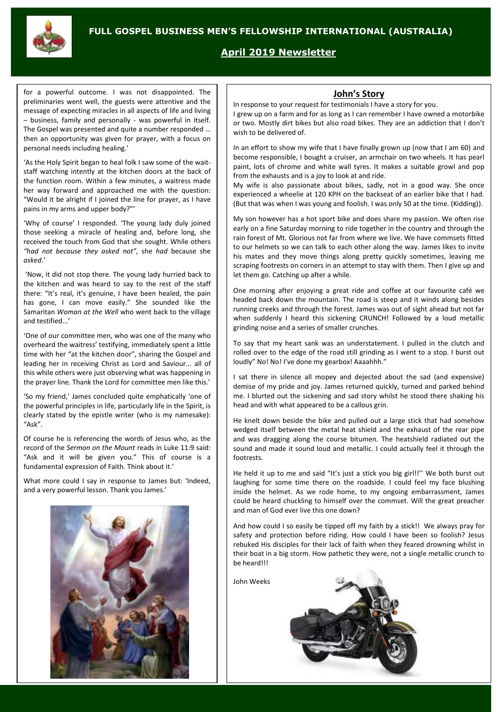

## **April 2019 Newsletter**

for a powerful outcome. I was not disappointed. The preliminaries went well, the guests were attentive and the message of expecting miracles in all aspects of life and living – business, family and personally - was powerful in itself. The Gospel was presented and quite a number responded … then an opportunity was given for prayer, with a focus on personal needs including healing.'

'As the Holy Spirit began to heal folk I saw some of the waitstaff watching intently at the kitchen doors at the back of the function room. Within a few minutes, a waitress made her way forward and approached me with the question: "Would it be alright if I joined the line for prayer, as I have pains in my arms and upper body?"'

'Why of course' I responded. 'The young lady duly joined those seeking a miracle of healing and, before long, she received the touch from God that she sought. While others *"had not because they asked not"*, she *had* because she *asked*.'

'Now, it did not stop there. The young lady hurried back to the kitchen and was heard to say to the rest of the staff there: "It's real, it's genuine, I have been healed, the pain has gone, I can move easily." She sounded like the Samaritan *Woman at the Well* who went back to the village and testified...'

'One of our committee men, who was one of the many who overheard the waitress' testifying, immediately spent a little time with her "at the kitchen door", sharing the Gospel and leading her in receiving Christ as Lord and Saviour... all of this while others were just observing what was happening in the prayer line. Thank the Lord for committee men like this.'

'So my friend,' James concluded quite emphatically 'one of the powerful principles in life, particularly life in the Spirit, is clearly stated by the epistle writer (who is my namesake): "Ask".

Of course he is referencing the words of Jesus who, as the record of the *Sermon on the Mount* reads in Luke 11:9 said: "Ask and it will be given you." This of course is a fundamental expression of Faith. Think about it.'

What more could I say in response to James but: 'Indeed, and a very powerful lesson. Thank you James.'



#### **John's Story**

In response to your request for testimonials I have a story for you. I grew up on a farm and for as long as I can remember I have owned a motorbike or two. Mostly dirt bikes but also road bikes. They are an addiction that I don't wish to be delivered of.

In an effort to show my wife that I have finally grown up (now that I am 60) and become responsible, I bought a cruiser, an armchair on two wheels. It has pearl paint, lots of chrome and white wall tyres. It makes a suitable growl and pop from the exhausts and is a joy to look at and ride.

My wife is also passionate about bikes, sadly, not in a good way. She once experienced a wheelie at 120 KPH on the backseat of an earlier bike that I had. (But that was when I was young and foolish. I was only 50 at the time. (Kidding)).

My son however has a hot sport bike and does share my passion. We often rise early on a fine Saturday morning to ride together in the country and through the rain forest of Mt. Glorious not far from where we live. We have commsets fitted to our helmets so we can talk to each other along the way. James likes to invite his mates and they move things along pretty quickly sometimes, leaving me scraping footrests on corners in an attempt to stay with them. Then I give up and let them go. Catching up after a while.

One morning after enjoying a great ride and coffee at our favourite café we headed back down the mountain. The road is steep and it winds along besides running creeks and through the forest. James was out of sight ahead but not far when suddenly I heard this sickening CRUNCH! Followed by a loud metallic grinding noise and a series of smaller crunches.

To say that my heart sank was an understatement. I pulled in the clutch and rolled over to the edge of the road still grinding as I went to a stop. I burst out loudly" No! No! I've done my gearbox! Aaaahhh."

I sat there in silence all mopey and dejected about the sad (and expensive) demise of my pride and joy. James returned quickly, turned and parked behind me. I blurted out the sickening and sad story whilst he stood there shaking his head and with what appeared to be a callous grin.

He knelt down beside the bike and pulled out a large stick that had somehow wedged itself between the metal heat shield and the exhaust of the rear pipe and was dragging along the course bitumen. The heatshield radiated out the sound and made it sound loud and metallic. I could actually feel it through the footrests.

He held it up to me and said "It's just a stick you big girl!!'' We both burst out laughing for some time there on the roadside. I could feel my face blushing inside the helmet. As we rode home, to my ongoing embarrassment, James could be heard chuckling to himself over the commset. Will the great preacher and man of God ever live this one down?

And how could I so easily be tipped off my faith by a stick!! We always pray for safety and protection before riding. How could I have been so foolish? Jesus rebuked His disciples for their lack of faith when they feared drowning whilst in their boat in a big storm. How pathetic they were, not a single metallic crunch to be heard!!!

John Weeks

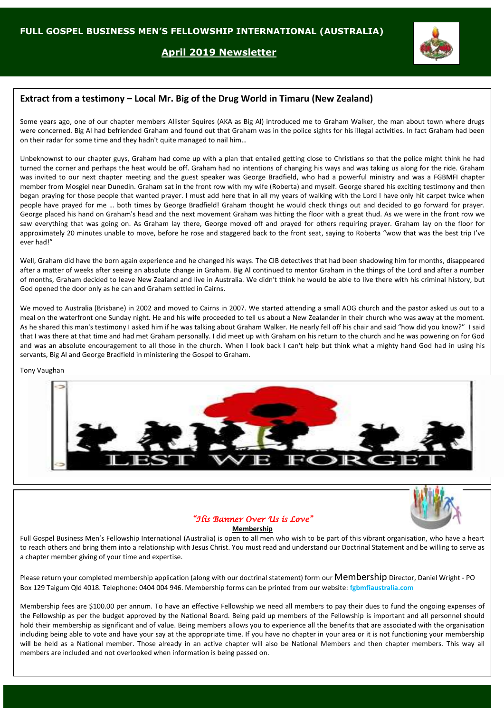### **April 2019 Newsletter**



## **Extract from a testimony – Local Mr. Big of the Drug World in Timaru (New Zealand)**

Some years ago, one of our chapter members Allister Squires (AKA as Big Al) introduced me to Graham Walker, the man about town where drugs were concerned. Big Al had befriended Graham and found out that Graham was in the police sights for his illegal activities. In fact Graham had been on their radar for some time and they hadn't quite managed to nail him…

Unbeknownst to our chapter guys, Graham had come up with a plan that entailed getting close to Christians so that the police might think he had turned the corner and perhaps the heat would be off. Graham had no intentions of changing his ways and was taking us along for the ride. Graham was invited to our next chapter meeting and the guest speaker was George Bradfield, who had a powerful ministry and was a FGBMFI chapter member from Mosgiel near Dunedin. Graham sat in the front row with my wife (Roberta) and myself. George shared his exciting testimony and then began praying for those people that wanted prayer. I must add here that in all my years of walking with the Lord I have only hit carpet twice when people have prayed for me … both times by George Bradfield! Graham thought he would check things out and decided to go forward for prayer. George placed his hand on Graham's head and the next movement Graham was hitting the floor with a great thud. As we were in the front row we saw everything that was going on. As Graham lay there, George moved off and prayed for others requiring prayer. Graham lay on the floor for approximately 20 minutes unable to move, before he rose and staggered back to the front seat, saying to Roberta "wow that was the best trip I've ever had!"

Well, Graham did have the born again experience and he changed his ways. The CIB detectives that had been shadowing him for months, disappeared after a matter of weeks after seeing an absolute change in Graham. Big Al continued to mentor Graham in the things of the Lord and after a number of months, Graham decided to leave New Zealand and live in Australia. We didn't think he would be able to live there with his criminal history, but God opened the door only as he can and Graham settled in Cairns.

We moved to Australia (Brisbane) in 2002 and moved to Cairns in 2007. We started attending a small AOG church and the pastor asked us out to a meal on the waterfront one Sunday night. He and his wife proceeded to tell us about a New Zealander in their church who was away at the moment. As he shared this man's testimony I asked him if he was talking about Graham Walker. He nearly fell off his chair and said "how did you know?" I said that I was there at that time and had met Graham personally. I did meet up with Graham on his return to the church and he was powering on for God and was an absolute encouragement to all those in the church. When I look back I can't help but think what a mighty hand God had in using his servants, Big Al and George Bradfield in ministering the Gospel to Graham.

Tony Vaughan





## *"His Banner Over Us is Love"*

**Membership**

Full Gospel Business Men's Fellowship International (Australia) is open to all men who wish to be part of this vibrant organisation, who have a heart to reach others and bring them into a relationship with Jesus Christ. You must read and understand our Doctrinal Statement and be willing to serve as a chapter member giving of your time and expertise.

Please return your completed membership application (along with our doctrinal statement) form our Membership Director, Daniel Wright - PO Box 129 Taigum Qld 4018. Telephone: 0404 004 946. Membership forms can be printed from our website: **fgbmfiaustralia.com**

Membership fees are \$100.00 per annum. To have an effective Fellowship we need all members to pay their dues to fund the ongoing expenses of the Fellowship as per the budget approved by the National Board. Being paid up members of the Fellowship is important and all personnel should hold their membership as significant and of value. Being members allows you to experience all the benefits that are associated with the organisation including being able to vote and have your say at the appropriate time. If you have no chapter in your area or it is not functioning your membership will be held as a National member. Those already in an active chapter will also be National Members and then chapter members. This way all members are included and not overlooked when information is being passed on.